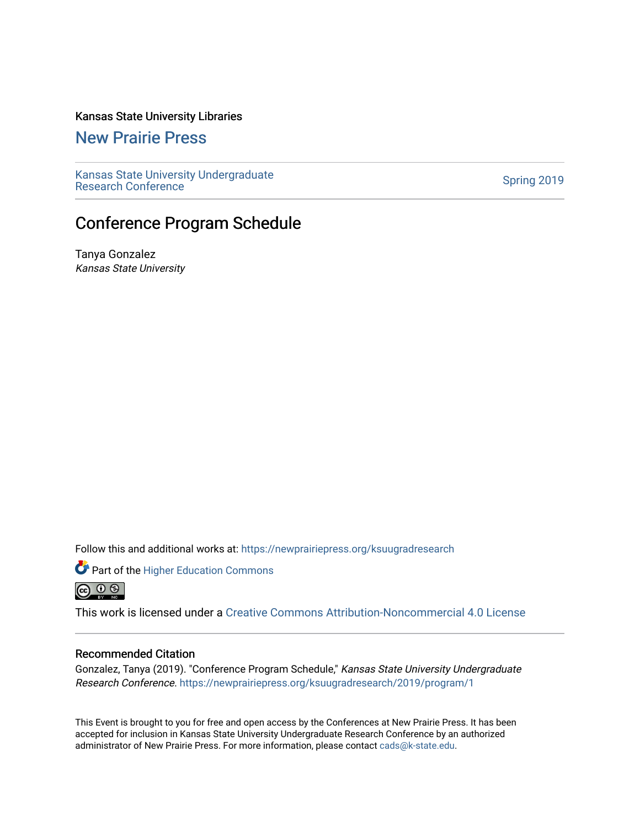# Kansas State University Libraries

[New Prairie Press](https://newprairiepress.org/) 

[Kansas State University Undergraduate](https://newprairiepress.org/ksuugradresearch)  Ransas State University Undergraduate<br>[Research Conference](https://newprairiepress.org/ksuugradresearch)

# Conference Program Schedule

Tanya Gonzalez Kansas State University

Follow this and additional works at: [https://newprairiepress.org/ksuugradresearch](https://newprairiepress.org/ksuugradresearch?utm_source=newprairiepress.org%2Fksuugradresearch%2F2019%2Fprogram%2F1&utm_medium=PDF&utm_campaign=PDFCoverPages) 

Part of the Higher Education Commons @ 0 ®

This work is licensed under a [Creative Commons Attribution-Noncommercial 4.0 License](https://creativecommons.org/licenses/by-nc/4.0/)

#### Recommended Citation

Gonzalez, Tanya (2019). "Conference Program Schedule," Kansas State University Undergraduate Research Conference. <https://newprairiepress.org/ksuugradresearch/2019/program/1>

This Event is brought to you for free and open access by the Conferences at New Prairie Press. It has been accepted for inclusion in Kansas State University Undergraduate Research Conference by an authorized administrator of New Prairie Press. For more information, please contact [cads@k-state.edu](mailto:cads@k-state.edu).